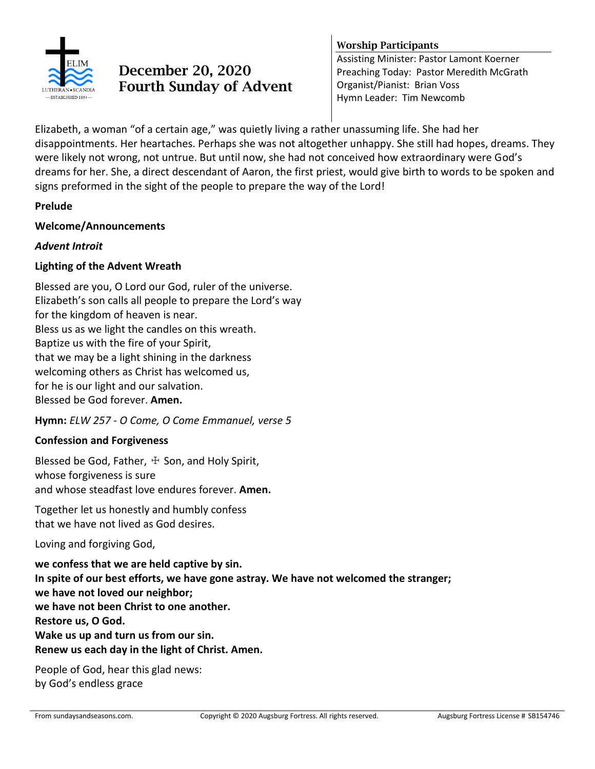

# **December 20, 2020 Fourth Sunday of Advent**

#### **Worship Participants**

Assisting Minister: Pastor Lamont Koerner Preaching Today: Pastor Meredith McGrath Organist/Pianist: Brian Voss Hymn Leader: Tim Newcomb

Elizabeth, a woman "of a certain age," was quietly living a rather unassuming life. She had her disappointments. Her heartaches. Perhaps she was not altogether unhappy. She still had hopes, dreams. They were likely not wrong, not untrue. But until now, she had not conceived how extraordinary were God's dreams for her. She, a direct descendant of Aaron, the first priest, would give birth to words to be spoken and signs preformed in the sight of the people to prepare the way of the Lord!

#### **Prelude**

#### **Welcome/Announcements**

#### *Advent Introit*

#### **Lighting of the Advent Wreath**

Blessed are you, O Lord our God, ruler of the universe. Elizabeth's son calls all people to prepare the Lord's way for the kingdom of heaven is near. Bless us as we light the candles on this wreath. Baptize us with the fire of your Spirit, that we may be a light shining in the darkness welcoming others as Christ has welcomed us, for he is our light and our salvation. Blessed be God forever. **Amen.**

**Hymn:** *ELW 257 - O Come, O Come Emmanuel, verse 5*

## **Confession and Forgiveness**

Blessed be God, Father,  $\pm$  Son, and Holy Spirit, whose forgiveness is sure and whose steadfast love endures forever. **Amen.**

Together let us honestly and humbly confess that we have not lived as God desires.

Loving and forgiving God,

**we confess that we are held captive by sin. In spite of our best efforts, we have gone astray. We have not welcomed the stranger; we have not loved our neighbor; we have not been Christ to one another. Restore us, O God. Wake us up and turn us from our sin. Renew us each day in the light of Christ. Amen.**

People of God, hear this glad news: by God's endless grace